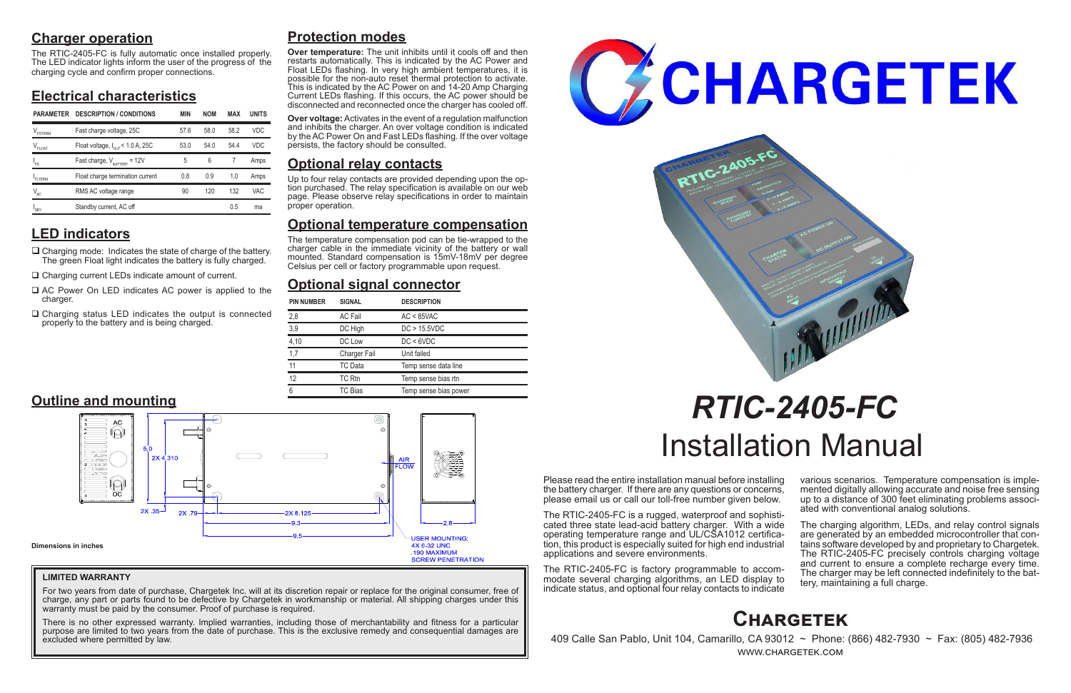# **Charger operation**

The RTIC-2405-FC is fully automatic once installed properly. The LED indicator lights inform the user of the progress of the charging cycle and confirm proper connections.

# **Electrical characteristics**

# **LED indicators**

- $\Box$  Charging mode: Indicates the state of charge of the battery. The green Float light indicates the battery is fully charged.
- □ Charging current LEDs indicate amount of current.
- $\Box$  AC Power On LED indicates AC power is applied to the charger.
- $\Box$  Charging status LED indicates the output is connected properly to the battery and is being charged.

Please read the entire installation manual before installing the battery charger. If there are any questions or concerns, please email us or call our toll-free number given below.

> The charging algorithm, LEDs, and relay control signals are generated by an embedded microcontroller that contains software developed by and proprietary to Chargetek. The RTIC-2405-FC precisely controls charging voltage and current to ensure a complete recharge every time. The charger may be left connected indefinitely to the bat- tery, maintaining a full charge.

The RTIC-2405-FC is a rugged, waterproof and sophisticated three state lead-acid battery charger. With a wide operating temperature range and UL/CSA1012 certification, this product is especially suited for high end industrial applications and severe environments.

The RTIC-2405-FC is factory programmable to accommodate several charging algorithms, an LED display to indicate status, and optional four relay contacts to indicate

various scenarios. Temperature compensation is imple- mented digitally allowing accurate and noise free sensing up to a distance of 300 feet eliminating problems associ- ated with conventional analog solutions.

For two years from date of purchase, Chargetek Inc. will at its discretion repair or replace for the original consumer, free of charge, any part or parts found to be defective by Chargetek in workmanship or material. All shipping charges under this warranty must be paid by the consumer. Proof of purchase is required.

# *RTIC-2405-FC* Installation Manual

# **Protection modes**

**Over temperature:** The unit inhibits until it cools off and then restarts automatically. This is indicated by the AC Power and Float LEDs flashing. In very high ambient temperatures, it is possible for the non-auto reset thermal protection to activate. This is indicated by the AC Power on and 14-20 Amp Charging Current LEDs flashing. If this occurs, the AC power should be disconnected and reconnected once the charger has cooled off.

**Over voltage:** Activates in the event of a regulation malfunction and inhibits the charger. An over voltage condition is indicated by the AC Power On and Fast LEDs flashing. If the over voltage persists, the factory should be consulted.

# **Optional relay contacts**

Up to four relay contacts are provided depending upon the op- tion purchased. The relay specification is available on our web page. Please observe relay specifications in order to maintain proper operation.

# **Optional temperature compensation**

The temperature compensation pod can be tie-wrapped to the charger cable in the immediate vicinity of the battery or wall mounted. Standard compensation is 15mV-18mV per degree Celsius per cell or factory programmable upon request.

# **Optional signal connector**



 409 Calle San Pablo, Unit 104, Camarillo, CA 93012 ~ Phone: (866) 482-7930 ~ Fax: (805) 482-7936 www.chargetek.com

| <b>PIN NUMBER</b> | <b>SIGNAL</b>       | <b>DESCRIPTION</b>    |
|-------------------|---------------------|-----------------------|
| 2,8               | <b>AC Fail</b>      | $AC < 85$ VAC         |
| 3,9               | DC High             | DC > 15.5VDC          |
| 4,10              | DC Low              | DC < 6VDC             |
| 1,7               | <b>Charger Fail</b> | Unit failed           |
| 11                | TC Data             | Temp sense data line  |
| 12                | TC Rtn              | Temp sense bias rtn   |
| 6                 | TC Bias             | Temp sense bias power |



## **LIMITED WARRANTY**

There is no other expressed warranty. Implied warranties, including those of merchantability and fitness for a particular purpose are limited to two years from the date of purchase. This is the exclusive remedy and consequential damages are excluded where permitted by law.





| <b>PARAMETER</b> | <b>DESCRIPTION / CONDITIONS</b>              | <b>MIN</b> | <b>NOM</b> | MAX  | <b>UNITS</b> |
|------------------|----------------------------------------------|------------|------------|------|--------------|
| FSTERM           | Fast charge voltage, 25C                     | 57.6       | 58.0       | 58.2 | <b>VDC</b>   |
| $V_{FLOAT}$      | Float voltage, $I_{\text{out}}$ < 1.0 A, 25C | 53.0       | 54.0       | 54.4 | <b>VDC</b>   |
| $I_{FS}$         | Fast charge, $V_{\text{raffry}} = 12V$       | 5          | 6          |      | Amps         |
| FITERM           | Float charge termination current             | 0.8        | 0.9        | 1.0  | Amps         |
| $V_{AC}$         | RMS AC voltage range                         | 90         | 120        | 132  | <b>VAC</b>   |
| 'SBY             | Standby current, AC off                      |            |            | 0.5  | ma           |